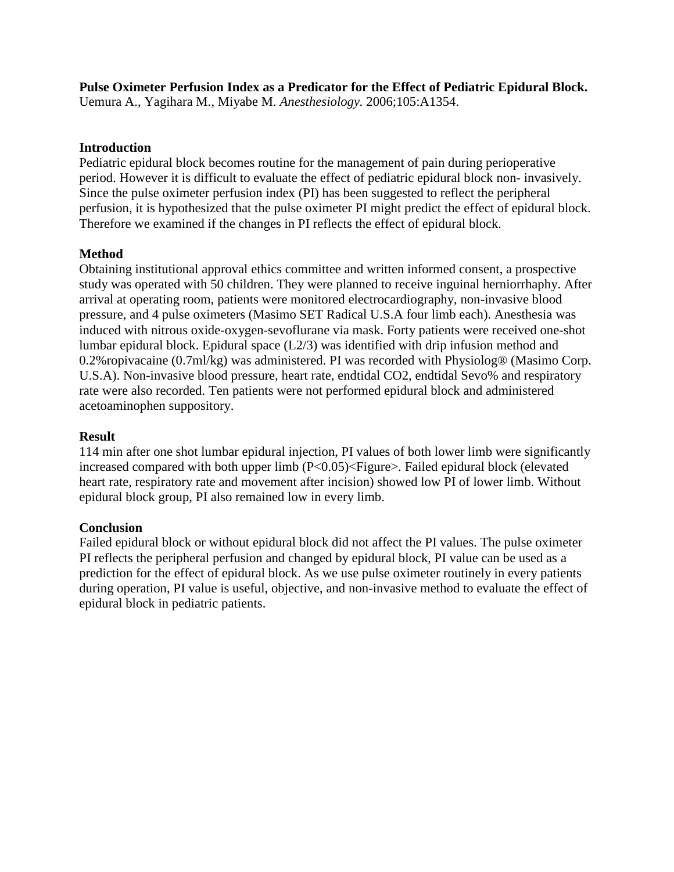**Pulse Oximeter Perfusion Index as a Predicator for the Effect of Pediatric Epidural Block.**  Uemura A., Yagihara M., Miyabe M. *Anesthesiology.* 2006;105:A1354.

## **Introduction**

Pediatric epidural block becomes routine for the management of pain during perioperative period. However it is difficult to evaluate the effect of pediatric epidural block non- invasively. Since the pulse oximeter perfusion index (PI) has been suggested to reflect the peripheral perfusion, it is hypothesized that the pulse oximeter PI might predict the effect of epidural block. Therefore we examined if the changes in PI reflects the effect of epidural block.

## **Method**

Obtaining institutional approval ethics committee and written informed consent, a prospective study was operated with 50 children. They were planned to receive inguinal herniorrhaphy. After arrival at operating room, patients were monitored electrocardiography, non-invasive blood pressure, and 4 pulse oximeters (Masimo SET Radical U.S.A four limb each). Anesthesia was induced with nitrous oxide-oxygen-sevoflurane via mask. Forty patients were received one-shot lumbar epidural block. Epidural space (L2/3) was identified with drip infusion method and 0.2%ropivacaine (0.7ml/kg) was administered. PI was recorded with Physiolog® (Masimo Corp. U.S.A). Non-invasive blood pressure, heart rate, endtidal CO2, endtidal Sevo% and respiratory rate were also recorded. Ten patients were not performed epidural block and administered acetoaminophen suppository.

## **Result**

114 min after one shot lumbar epidural injection, PI values of both lower limb were significantly increased compared with both upper limb (P<0.05)<Figure>. Failed epidural block (elevated heart rate, respiratory rate and movement after incision) showed low PI of lower limb. Without epidural block group, PI also remained low in every limb.

## **Conclusion**

Failed epidural block or without epidural block did not affect the PI values. The pulse oximeter PI reflects the peripheral perfusion and changed by epidural block, PI value can be used as a prediction for the effect of epidural block. As we use pulse oximeter routinely in every patients during operation, PI value is useful, objective, and non-invasive method to evaluate the effect of epidural block in pediatric patients.